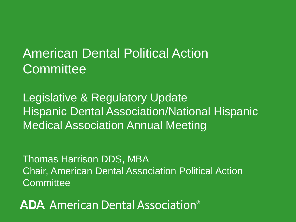# American Dental Political Action **Committee**

Legislative & Regulatory Update Hispanic Dental Association/National Hispanic Medical Association Annual Meeting

Thomas Harrison DDS, MBA Chair, American Dental Association Political Action **Committee** 

### **ADA** American Dental Association<sup>®</sup>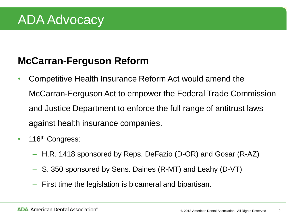## ADA Advocacy

#### **McCarran-Ferguson Reform**

- Competitive Health Insurance Reform Act would amend the McCarran-Ferguson Act to empower the Federal Trade Commission and Justice Department to enforce the full range of antitrust laws against health insurance companies.
- 116<sup>th</sup> Congress:
	- H.R. 1418 sponsored by Reps. DeFazio (D-OR) and Gosar (R-AZ)
	- S. 350 sponsored by Sens. Daines (R-MT) and Leahy (D-VT)
	- First time the legislation is bicameral and bipartisan.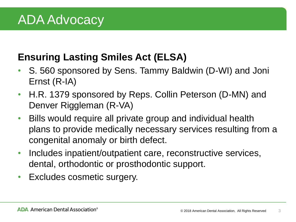#### **Ensuring Lasting Smiles Act (ELSA)**

- S. 560 sponsored by Sens. Tammy Baldwin (D-WI) and Joni Ernst (R-IA)
- H.R. 1379 sponsored by Reps. Collin Peterson (D-MN) and Denver Riggleman (R-VA)
- Bills would require all private group and individual health plans to provide medically necessary services resulting from a congenital anomaly or birth defect.
- Includes inpatient/outpatient care, reconstructive services, dental, orthodontic or prosthodontic support.
- Excludes cosmetic surgery.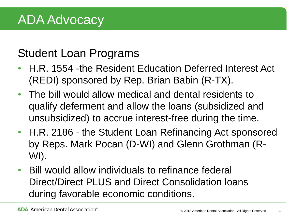### Student Loan Programs

- H.R. 1554 -the Resident Education Deferred Interest Act (REDI) sponsored by Rep. Brian Babin (R-TX).
- The bill would allow medical and dental residents to qualify deferment and allow the loans (subsidized and unsubsidized) to accrue interest-free during the time.
- H.R. 2186 the Student Loan Refinancing Act sponsored by Reps. Mark Pocan (D-WI) and Glenn Grothman (R-WI).
- Bill would allow individuals to refinance federal Direct/Direct PLUS and Direct Consolidation loans during favorable economic conditions.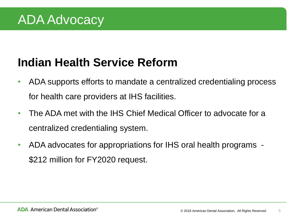### **Indian Health Service Reform**

- ADA supports efforts to mandate a centralized credentialing process for health care providers at IHS facilities.
- The ADA met with the IHS Chief Medical Officer to advocate for a centralized credentialing system.
- ADA advocates for appropriations for IHS oral health programs \$212 million for FY2020 request.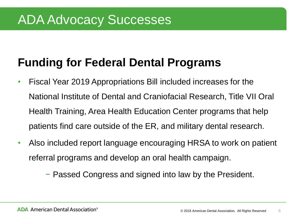### **Funding for Federal Dental Programs**

- Fiscal Year 2019 Appropriations Bill included increases for the National Institute of Dental and Craniofacial Research, Title VII Oral Health Training, Area Health Education Center programs that help patients find care outside of the ER, and military dental research.
- Also included report language encouraging HRSA to work on patient referral programs and develop an oral health campaign.

− Passed Congress and signed into law by the President.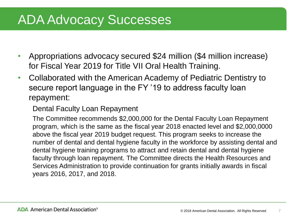- Appropriations advocacy secured \$24 million (\$4 million increase) for Fiscal Year 2019 for Title VII Oral Health Training.
- Collaborated with the American Academy of Pediatric Dentistry to secure report language in the FY '19 to address faculty loan repayment:

Dental Faculty Loan Repayment

The Committee recommends \$2,000,000 for the Dental Faculty Loan Repayment program, which is the same as the fiscal year 2018 enacted level and \$2,000,0000 above the fiscal year 2019 budget request. This program seeks to increase the number of dental and dental hygiene faculty in the workforce by assisting dental and dental hygiene training programs to attract and retain dental and dental hygiene faculty through loan repayment. The Committee directs the Health Resources and Services Administration to provide continuation for grants initially awards in fiscal years 2016, 2017, and 2018.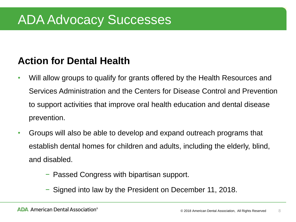#### **Action for Dental Health**

- Will allow groups to qualify for grants offered by the Health Resources and Services Administration and the Centers for Disease Control and Prevention to support activities that improve oral health education and dental disease prevention.
- Groups will also be able to develop and expand outreach programs that establish dental homes for children and adults, including the elderly, blind, and disabled.
	- − Passed Congress with bipartisan support.
	- − Signed into law by the President on December 11, 2018.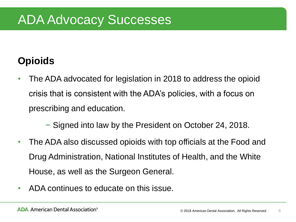#### **Opioids**

- The ADA advocated for legislation in 2018 to address the opioid crisis that is consistent with the ADA's policies, with a focus on prescribing and education.
	- − Signed into law by the President on October 24, 2018.
- The ADA also discussed opioids with top officials at the Food and Drug Administration, National Institutes of Health, and the White House, as well as the Surgeon General.
- ADA continues to educate on this issue.